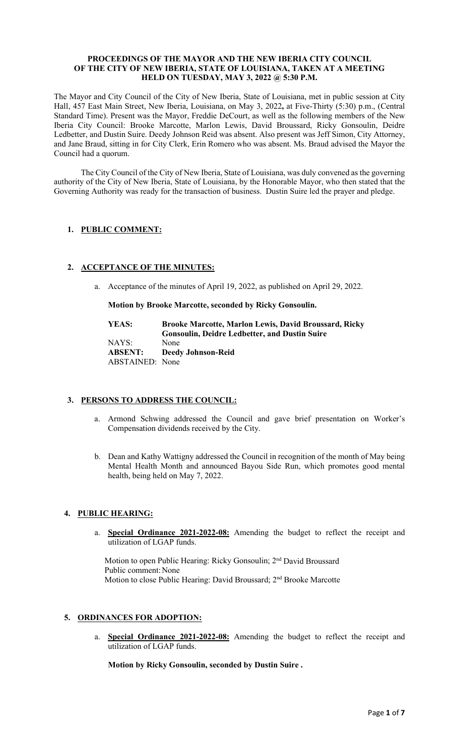#### **PROCEEDINGS OF THE MAYOR AND THE NEW IBERIA CITY COUNCIL OF THE CITY OF NEW IBERIA, STATE OF LOUISIANA, TAKEN AT A MEETING HELD ON TUESDAY, MAY 3, 2022 @ 5:30 P.M.**

The Mayor and City Council of the City of New Iberia, State of Louisiana, met in public session at City Hall, 457 East Main Street, New Iberia, Louisiana, on May 3, 2022**,** at Five-Thirty (5:30) p.m., (Central Standard Time). Present was the Mayor, Freddie DeCourt, as well as the following members of the New Iberia City Council: Brooke Marcotte, Marlon Lewis, David Broussard, Ricky Gonsoulin, Deidre Ledbetter, and Dustin Suire. Deedy Johnson Reid was absent. Also present was Jeff Simon, City Attorney, and Jane Braud, sitting in for City Clerk, Erin Romero who was absent. Ms. Braud advised the Mayor the Council had a quorum.

The City Council of the City of New Iberia, State of Louisiana, was duly convened as the governing authority of the City of New Iberia, State of Louisiana, by the Honorable Mayor, who then stated that the Governing Authority was ready for the transaction of business. Dustin Suire led the prayer and pledge.

# **1. PUBLIC COMMENT:**

# **2. ACCEPTANCE OF THE MINUTES:**

a. Acceptance of the minutes of April 19, 2022, as published on April 29, 2022.

#### **Motion by Brooke Marcotte, seconded by Ricky Gonsoulin.**

| YEAS:           | <b>Brooke Marcotte, Marlon Lewis, David Broussard, Ricky</b> |
|-----------------|--------------------------------------------------------------|
|                 | <b>Gonsoulin, Deidre Ledbetter, and Dustin Suire</b>         |
| NAYS:           | None                                                         |
| ABSENT:         | <b>Deedy Johnson-Reid</b>                                    |
| ABSTAINED: None |                                                              |

### **3. PERSONS TO ADDRESS THE COUNCIL:**

- a. Armond Schwing addressed the Council and gave brief presentation on Worker's Compensation dividends received by the City.
- b. Dean and Kathy Wattigny addressed the Council in recognition of the month of May being Mental Health Month and announced Bayou Side Run, which promotes good mental health, being held on May 7, 2022.

# **4. PUBLIC HEARING:**

a. **Special Ordinance 2021-2022-08:** Amending the budget to reflect the receipt and utilization of LGAP funds.

Motion to open Public Hearing: Ricky Gonsoulin; 2nd David Broussard Public comment: None Motion to close Public Hearing: David Broussard; 2nd Brooke Marcotte

### **5. ORDINANCES FOR ADOPTION:**

a. **Special Ordinance 2021-2022-08:** Amending the budget to reflect the receipt and utilization of LGAP funds.

**Motion by Ricky Gonsoulin, seconded by Dustin Suire .**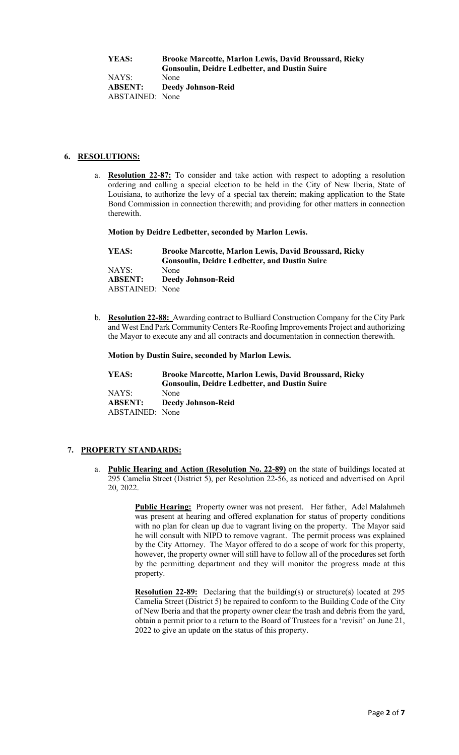**YEAS: Brooke Marcotte, Marlon Lewis, David Broussard, Ricky Gonsoulin, Deidre Ledbetter, and Dustin Suire** NAYS: None **ABSENT: Deedy Johnson-Reid**

ABSTAINED: None

# **6. RESOLUTIONS:**

**Resolution 22-87:** To consider and take action with respect to adopting a resolution ordering and calling a special election to be held in the City of New Iberia, State of Louisiana, to authorize the levy of a special tax therein; making application to the State Bond Commission in connection therewith; and providing for other matters in connection therewith.

**Motion by Deidre Ledbetter, seconded by Marlon Lewis.** 

| YEAS:           | <b>Brooke Marcotte, Marlon Lewis, David Broussard, Ricky</b> |
|-----------------|--------------------------------------------------------------|
|                 | <b>Gonsoulin, Deidre Ledbetter, and Dustin Suire</b>         |
| NAYS:           | None                                                         |
| ABSENT:         | Deedy Johnson-Reid                                           |
| ABSTAINED: None |                                                              |

b. **Resolution 22-88:** Awarding contract to Bulliard Construction Company for the City Park and West End Park Community Centers Re-Roofing Improvements Project and authorizing the Mayor to execute any and all contracts and documentation in connection therewith.

**Motion by Dustin Suire, seconded by Marlon Lewis.** 

| YEAS:           | <b>Brooke Marcotte, Marlon Lewis, David Broussard, Ricky</b><br><b>Gonsoulin, Deidre Ledbetter, and Dustin Suire</b> |
|-----------------|----------------------------------------------------------------------------------------------------------------------|
| NAYS:           | None                                                                                                                 |
| <b>ABSENT:</b>  | <b>Deedy Johnson-Reid</b>                                                                                            |
| ABSTAINED: None |                                                                                                                      |

# **7. PROPERTY STANDARDS:**

a. **Public Hearing and Action (Resolution No. 22-89)** on the state of buildings located at 295 Camelia Street (District 5), per Resolution 22-56, as noticed and advertised on April 20, 2022.

> **Public Hearing:** Property owner was not present. Her father, Adel Malahmeh was present at hearing and offered explanation for status of property conditions with no plan for clean up due to vagrant living on the property. The Mayor said he will consult with NIPD to remove vagrant. The permit process was explained by the City Attorney. The Mayor offered to do a scope of work for this property, however, the property owner will still have to follow all of the procedures set forth by the permitting department and they will monitor the progress made at this property.

> **Resolution 22-89:** Declaring that the building(s) or structure(s) located at 295 Camelia Street (District 5) be repaired to conform to the Building Code of the City of New Iberia and that the property owner clear the trash and debris from the yard, obtain a permit prior to a return to the Board of Trustees for a 'revisit' on June 21, 2022 to give an update on the status of this property.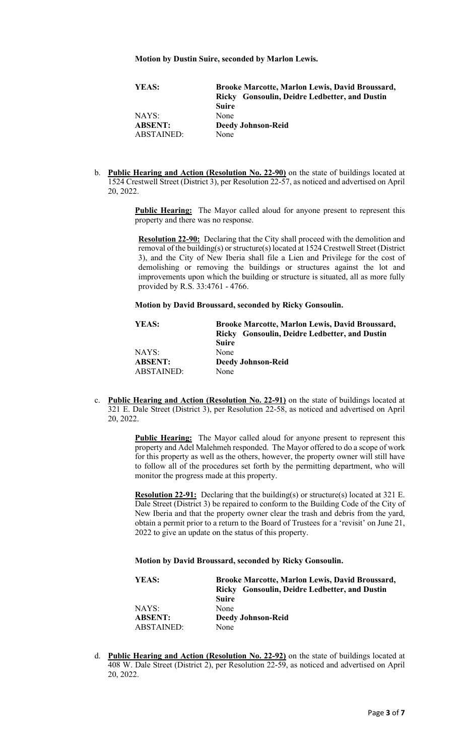**Motion by Dustin Suire, seconded by Marlon Lewis.** 

| YEAS:          | <b>Brooke Marcotte, Marlon Lewis, David Broussard,</b> |
|----------------|--------------------------------------------------------|
|                | Ricky Gonsoulin, Deidre Ledbetter, and Dustin          |
|                | <b>Suire</b>                                           |
| NAYS:          | None                                                   |
| <b>ABSENT:</b> | <b>Deedy Johnson-Reid</b>                              |
| ABSTAINED:     | None                                                   |

b. **Public Hearing and Action (Resolution No. 22-90)** on the state of buildings located at 1524 Crestwell Street (District 3), per Resolution 22-57, as noticed and advertised on April 20, 2022.

> **Public Hearing:** The Mayor called aloud for anyone present to represent this property and there was no response.

**Resolution 22-90:** Declaring that the City shall proceed with the demolition and removal of the building(s) or structure(s) located at 1524 Crestwell Street (District 3), and the City of New Iberia shall file a Lien and Privilege for the cost of demolishing or removing the buildings or structures against the lot and improvements upon which the building or structure is situated, all as more fully provided by R.S. 33:4761 - 4766.

**Motion by David Broussard, seconded by Ricky Gonsoulin.** 

| YEAS:          | <b>Brooke Marcotte, Marlon Lewis, David Broussard,</b> |
|----------------|--------------------------------------------------------|
|                | Ricky Gonsoulin, Deidre Ledbetter, and Dustin          |
|                | <b>Suire</b>                                           |
| NAYS:          | None                                                   |
| <b>ABSENT:</b> | <b>Deedy Johnson-Reid</b>                              |
| ABSTAINED:     | None                                                   |

c. **Public Hearing and Action (Resolution No. 22-91)** on the state of buildings located at 321 E. Dale Street (District 3), per Resolution 22-58, as noticed and advertised on April 20, 2022.

> **Public Hearing:** The Mayor called aloud for anyone present to represent this property and Adel Malehmeh responded. The Mayor offered to do a scope of work for this property as well as the others, however, the property owner will still have to follow all of the procedures set forth by the permitting department, who will monitor the progress made at this property.

> **Resolution 22-91:** Declaring that the building(s) or structure(s) located at 321 E. Dale Street (District 3) be repaired to conform to the Building Code of the City of New Iberia and that the property owner clear the trash and debris from the yard, obtain a permit prior to a return to the Board of Trustees for a 'revisit' on June 21, 2022 to give an update on the status of this property.

**Motion by David Broussard, seconded by Ricky Gonsoulin.** 

| YEAS:             | <b>Brooke Marcotte, Marlon Lewis, David Broussard,</b> |
|-------------------|--------------------------------------------------------|
|                   | Ricky Gonsoulin, Deidre Ledbetter, and Dustin          |
|                   | <b>Suire</b>                                           |
| NAYS:             | None                                                   |
| <b>ABSENT:</b>    | <b>Deedy Johnson-Reid</b>                              |
| <b>ABSTAINED:</b> | None                                                   |

d. **Public Hearing and Action (Resolution No. 22-92)** on the state of buildings located at 408 W. Dale Street (District 2), per Resolution 22-59, as noticed and advertised on April 20, 2022.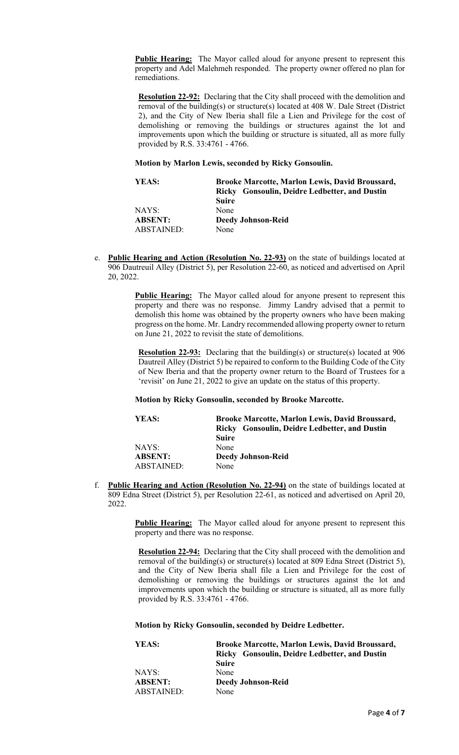**Public Hearing:** The Mayor called aloud for anyone present to represent this property and Adel Malehmeh responded. The property owner offered no plan for remediations.

**Resolution 22-92:** Declaring that the City shall proceed with the demolition and removal of the building(s) or structure(s) located at 408 W. Dale Street (District 2), and the City of New Iberia shall file a Lien and Privilege for the cost of demolishing or removing the buildings or structures against the lot and improvements upon which the building or structure is situated, all as more fully provided by R.S. 33:4761 - 4766.

**Motion by Marlon Lewis, seconded by Ricky Gonsoulin.** 

| YEAS:          | Brooke Marcotte, Marlon Lewis, David Broussard,<br>Ricky Gonsoulin, Deidre Ledbetter, and Dustin |
|----------------|--------------------------------------------------------------------------------------------------|
|                | <b>Suire</b>                                                                                     |
| NAYS:          | None                                                                                             |
| <b>ABSENT:</b> | <b>Deedy Johnson-Reid</b>                                                                        |
| ABSTAINED:     | None                                                                                             |

e. **Public Hearing and Action (Resolution No. 22-93)** on the state of buildings located at 906 Dautreuil Alley (District 5), per Resolution 22-60, as noticed and advertised on April 20, 2022.

> **Public Hearing:** The Mayor called aloud for anyone present to represent this property and there was no response. Jimmy Landry advised that a permit to demolish this home was obtained by the property owners who have been making progress on the home. Mr. Landry recommended allowing property owner to return on June 21, 2022 to revisit the state of demolitions.

**Resolution 22-93:** Declaring that the building(s) or structure(s) located at 906 Dautreil Alley (District 5) be repaired to conform to the Building Code of the City of New Iberia and that the property owner return to the Board of Trustees for a 'revisit' on June 21, 2022 to give an update on the status of this property.

### **Motion by Ricky Gonsoulin, seconded by Brooke Marcotte.**

| YEAS:             | <b>Brooke Marcotte, Marlon Lewis, David Broussard,</b> |
|-------------------|--------------------------------------------------------|
|                   | Ricky Gonsoulin, Deidre Ledbetter, and Dustin          |
|                   | <b>Suire</b>                                           |
| NAYS:             | None                                                   |
| <b>ABSENT:</b>    | <b>Deedy Johnson-Reid</b>                              |
| <b>ABSTAINED:</b> | None                                                   |

f. **Public Hearing and Action (Resolution No. 22-94)** on the state of buildings located at 809 Edna Street (District 5), per Resolution 22-61, as noticed and advertised on April 20, 2022.

> **Public Hearing:** The Mayor called aloud for anyone present to represent this property and there was no response.

**Resolution 22-94:** Declaring that the City shall proceed with the demolition and removal of the building(s) or structure(s) located at 809 Edna Street (District 5), and the City of New Iberia shall file a Lien and Privilege for the cost of demolishing or removing the buildings or structures against the lot and improvements upon which the building or structure is situated, all as more fully provided by R.S. 33:4761 - 4766.

**Motion by Ricky Gonsoulin, seconded by Deidre Ledbetter.** 

| YEAS:          | <b>Brooke Marcotte, Marlon Lewis, David Broussard,</b> |
|----------------|--------------------------------------------------------|
|                | Ricky Gonsoulin, Deidre Ledbetter, and Dustin          |
|                | <b>Suire</b>                                           |
| NAYS:          | None                                                   |
| <b>ABSENT:</b> | <b>Deedy Johnson-Reid</b>                              |
| ABSTAINED:     | None                                                   |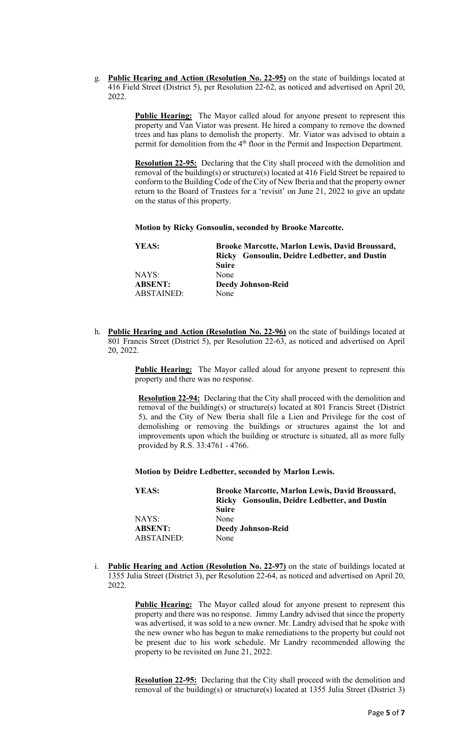g. **Public Hearing and Action (Resolution No. 22-95)** on the state of buildings located at 416 Field Street (District 5), per Resolution 22-62, as noticed and advertised on April 20, 2022

> **Public Hearing:** The Mayor called aloud for anyone present to represent this property and Van Viator was present. He hired a company to remove the downed trees and has plans to demolish the property. Mr. Viator was advised to obtain a permit for demolition from the 4<sup>th</sup> floor in the Permit and Inspection Department.

> **Resolution 22-95:** Declaring that the City shall proceed with the demolition and removal of the building(s) or structure(s) located at 416 Field Street be repaired to conform to the Building Code of the City of New Iberia and that the property owner return to the Board of Trustees for a 'revisit' on June 21, 2022 to give an update on the status of this property.

**Motion by Ricky Gonsoulin, seconded by Brooke Marcotte.** 

| YEAS:          | <b>Brooke Marcotte, Marlon Lewis, David Broussard,</b><br>Ricky Gonsoulin, Deidre Ledbetter, and Dustin |
|----------------|---------------------------------------------------------------------------------------------------------|
|                | <b>Suire</b>                                                                                            |
| NAYS:          | None                                                                                                    |
| <b>ABSENT:</b> | <b>Deedy Johnson-Reid</b>                                                                               |
| ABSTAINED:     | None                                                                                                    |
|                |                                                                                                         |

h. **Public Hearing and Action (Resolution No. 22-96)** on the state of buildings located at 801 Francis Street (District 5), per Resolution 22-63, as noticed and advertised on April 20, 2022.

> **Public Hearing:** The Mayor called aloud for anyone present to represent this property and there was no response.

**Resolution 22-94:** Declaring that the City shall proceed with the demolition and removal of the building(s) or structure(s) located at 801 Francis Street (District 5), and the City of New Iberia shall file a Lien and Privilege for the cost of demolishing or removing the buildings or structures against the lot and improvements upon which the building or structure is situated, all as more fully provided by R.S. 33:4761 - 4766.

#### **Motion by Deidre Ledbetter, seconded by Marlon Lewis.**

| YEAS:                               | <b>Brooke Marcotte, Marlon Lewis, David Broussard,</b><br>Ricky Gonsoulin, Deidre Ledbetter, and Dustin<br><b>Suire</b> |
|-------------------------------------|-------------------------------------------------------------------------------------------------------------------------|
| NAYS:                               | None                                                                                                                    |
| <b>ABSENT:</b><br><b>ABSTAINED:</b> | <b>Deedy Johnson-Reid</b><br>None                                                                                       |

i. **Public Hearing and Action (Resolution No. 22-97)** on the state of buildings located at 1355 Julia Street (District 3), per Resolution 22-64, as noticed and advertised on April 20, 2022.

> **Public Hearing:** The Mayor called aloud for anyone present to represent this property and there was no response. Jimmy Landry advised that since the property was advertised, it was sold to a new owner. Mr. Landry advised that he spoke with the new owner who has begun to make remediations to the property but could not be present due to his work schedule. Mr Landry recommended allowing the property to be revisited on June 21, 2022.

> **Resolution 22-95:** Declaring that the City shall proceed with the demolition and removal of the building(s) or structure(s) located at 1355 Julia Street (District 3)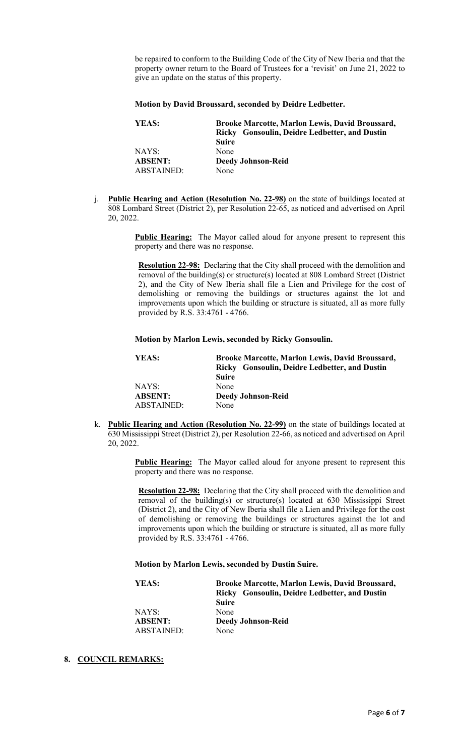be repaired to conform to the Building Code of the City of New Iberia and that the property owner return to the Board of Trustees for a 'revisit' on June 21, 2022 to give an update on the status of this property.

#### **Motion by David Broussard, seconded by Deidre Ledbetter.**

| YEAS:          | <b>Brooke Marcotte, Marlon Lewis, David Broussard,</b> |
|----------------|--------------------------------------------------------|
|                | Ricky Gonsoulin, Deidre Ledbetter, and Dustin          |
|                | <b>Suire</b>                                           |
| NAYS:          | None                                                   |
| <b>ABSENT:</b> | <b>Deedy Johnson-Reid</b>                              |
| ABSTAINED:     | None                                                   |

j. **Public Hearing and Action (Resolution No. 22-98)** on the state of buildings located at 808 Lombard Street (District 2), per Resolution 22-65, as noticed and advertised on April 20, 2022.

> **Public Hearing:** The Mayor called aloud for anyone present to represent this property and there was no response.

**Resolution 22-98:** Declaring that the City shall proceed with the demolition and removal of the building(s) or structure(s) located at 808 Lombard Street (District 2), and the City of New Iberia shall file a Lien and Privilege for the cost of demolishing or removing the buildings or structures against the lot and improvements upon which the building or structure is situated, all as more fully provided by R.S. 33:4761 - 4766.

#### **Motion by Marlon Lewis, seconded by Ricky Gonsoulin.**

| YEAS:          | <b>Brooke Marcotte, Marlon Lewis, David Broussard,</b><br>Ricky Gonsoulin, Deidre Ledbetter, and Dustin<br><b>Suire</b> |
|----------------|-------------------------------------------------------------------------------------------------------------------------|
| NAYS:          | None                                                                                                                    |
| <b>ABSENT:</b> | <b>Deedy Johnson-Reid</b>                                                                                               |
| ABSTAINED:     | None                                                                                                                    |

k. **Public Hearing and Action (Resolution No. 22-99)** on the state of buildings located at 630 Mississippi Street (District 2), per Resolution 22-66, as noticed and advertised on April 20, 2022.

> **Public Hearing:** The Mayor called aloud for anyone present to represent this property and there was no response.

**Resolution 22-98:** Declaring that the City shall proceed with the demolition and removal of the building(s) or structure(s) located at 630 Mississippi Street (District 2), and the City of New Iberia shall file a Lien and Privilege for the cost of demolishing or removing the buildings or structures against the lot and improvements upon which the building or structure is situated, all as more fully provided by R.S. 33:4761 - 4766.

### **Motion by Marlon Lewis, seconded by Dustin Suire.**

| YEAS:          | <b>Brooke Marcotte, Marlon Lewis, David Broussard,</b> |
|----------------|--------------------------------------------------------|
|                | Ricky Gonsoulin, Deidre Ledbetter, and Dustin          |
|                | <b>Suire</b>                                           |
| NAYS:          | None                                                   |
| <b>ABSENT:</b> | <b>Deedy Johnson-Reid</b>                              |
| ABSTAINED:     | None                                                   |

### **8. COUNCIL REMARKS:**